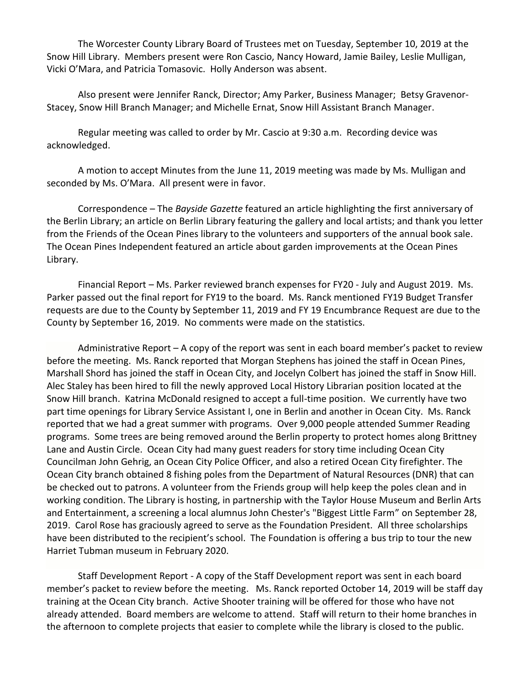The Worcester County Library Board of Trustees met on Tuesday, September 10, 2019 at the Snow Hill Library. Members present were Ron Cascio, Nancy Howard, Jamie Bailey, Leslie Mulligan, Vicki O'Mara, and Patricia Tomasovic. Holly Anderson was absent.

Also present were Jennifer Ranck, Director; Amy Parker, Business Manager; Betsy Gravenor-Stacey, Snow Hill Branch Manager; and Michelle Ernat, Snow Hill Assistant Branch Manager.

Regular meeting was called to order by Mr. Cascio at 9:30 a.m. Recording device was acknowledged.

A motion to accept Minutes from the June 11, 2019 meeting was made by Ms. Mulligan and seconded by Ms. O'Mara. All present were in favor.

Correspondence – The *Bayside Gazette* featured an article highlighting the first anniversary of the Berlin Library; an article on Berlin Library featuring the gallery and local artists; and thank you letter from the Friends of the Ocean Pines library to the volunteers and supporters of the annual book sale. The Ocean Pines Independent featured an article about garden improvements at the Ocean Pines Library.

Financial Report – Ms. Parker reviewed branch expenses for FY20 - July and August 2019. Ms. Parker passed out the final report for FY19 to the board. Ms. Ranck mentioned FY19 Budget Transfer requests are due to the County by September 11, 2019 and FY 19 Encumbrance Request are due to the County by September 16, 2019. No comments were made on the statistics.

Administrative Report – A copy of the report was sent in each board member's packet to review before the meeting. Ms. Ranck reported that Morgan Stephens has joined the staff in Ocean Pines, Marshall Shord has joined the staff in Ocean City, and Jocelyn Colbert has joined the staff in Snow Hill. Alec Staley has been hired to fill the newly approved Local History Librarian position located at the Snow Hill branch. Katrina McDonald resigned to accept a full-time position. We currently have two part time openings for Library Service Assistant I, one in Berlin and another in Ocean City. Ms. Ranck reported that we had a great summer with programs. Over 9,000 people attended Summer Reading programs. Some trees are being removed around the Berlin property to protect homes along Brittney Lane and Austin Circle. Ocean City had many guest readers for story time including Ocean City Councilman John Gehrig, an Ocean City Police Officer, and also a retired Ocean City firefighter. The Ocean City branch obtained 8 fishing poles from the Department of Natural Resources (DNR) that can be checked out to patrons. A volunteer from the Friends group will help keep the poles clean and in working condition. The Library is hosting, in partnership with the Taylor House Museum and Berlin Arts and Entertainment, a screening a local alumnus John Chester's "Biggest Little Farm" on September 28, 2019. Carol Rose has graciously agreed to serve as the Foundation President. All three scholarships have been distributed to the recipient's school. The Foundation is offering a bus trip to tour the new Harriet Tubman museum in February 2020.

Staff Development Report - A copy of the Staff Development report was sent in each board member's packet to review before the meeting. Ms. Ranck reported October 14, 2019 will be staff day training at the Ocean City branch. Active Shooter training will be offered for those who have not already attended. Board members are welcome to attend. Staff will return to their home branches in the afternoon to complete projects that easier to complete while the library is closed to the public.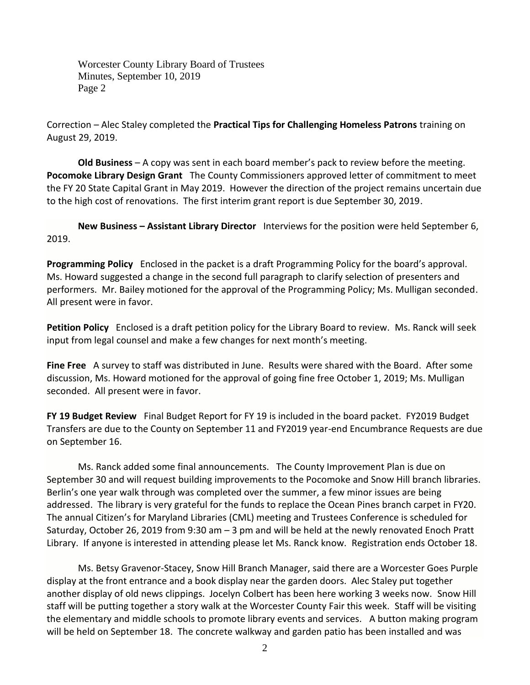Worcester County Library Board of Trustees Minutes, September 10, 2019 Page 2

Correction – Alec Staley completed the **Practical Tips for Challenging Homeless Patrons** training on August 29, 2019.

**Old Business** – A copy was sent in each board member's pack to review before the meeting. **Pocomoke Library Design Grant** The County Commissioners approved letter of commitment to meet the FY 20 State Capital Grant in May 2019. However the direction of the project remains uncertain due to the high cost of renovations. The first interim grant report is due September 30, 2019.

**New Business – Assistant Library Director** Interviews for the position were held September 6, 2019.

**Programming Policy** Enclosed in the packet is a draft Programming Policy for the board's approval. Ms. Howard suggested a change in the second full paragraph to clarify selection of presenters and performers. Mr. Bailey motioned for the approval of the Programming Policy; Ms. Mulligan seconded. All present were in favor.

**Petition Policy** Enclosed is a draft petition policy for the Library Board to review. Ms. Ranck will seek input from legal counsel and make a few changes for next month's meeting.

**Fine Free** A survey to staff was distributed in June. Results were shared with the Board. After some discussion, Ms. Howard motioned for the approval of going fine free October 1, 2019; Ms. Mulligan seconded. All present were in favor.

**FY 19 Budget Review** Final Budget Report for FY 19 is included in the board packet. FY2019 Budget Transfers are due to the County on September 11 and FY2019 year-end Encumbrance Requests are due on September 16.

Ms. Ranck added some final announcements. The County Improvement Plan is due on September 30 and will request building improvements to the Pocomoke and Snow Hill branch libraries. Berlin's one year walk through was completed over the summer, a few minor issues are being addressed. The library is very grateful for the funds to replace the Ocean Pines branch carpet in FY20. The annual Citizen's for Maryland Libraries (CML) meeting and Trustees Conference is scheduled for Saturday, October 26, 2019 from 9:30 am – 3 pm and will be held at the newly renovated Enoch Pratt Library. If anyone is interested in attending please let Ms. Ranck know. Registration ends October 18.

Ms. Betsy Gravenor-Stacey, Snow Hill Branch Manager, said there are a Worcester Goes Purple display at the front entrance and a book display near the garden doors. Alec Staley put together another display of old news clippings. Jocelyn Colbert has been here working 3 weeks now. Snow Hill staff will be putting together a story walk at the Worcester County Fair this week. Staff will be visiting the elementary and middle schools to promote library events and services. A button making program will be held on September 18. The concrete walkway and garden patio has been installed and was